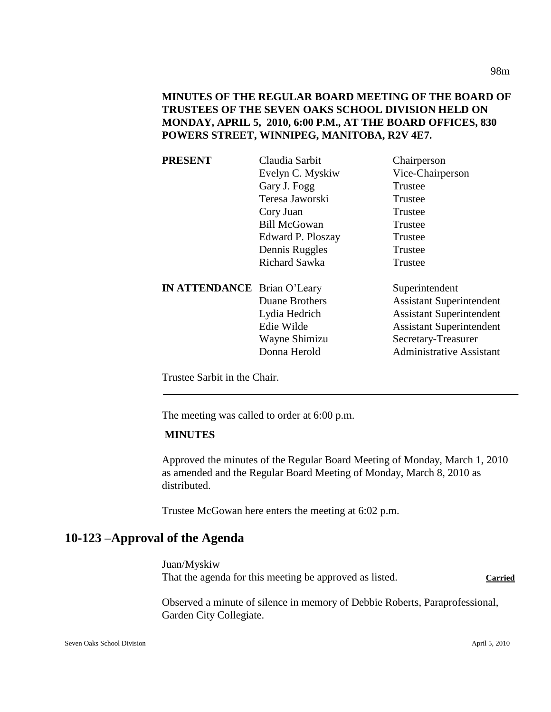**MINUTES OF THE REGULAR BOARD MEETING OF THE BOARD OF TRUSTEES OF THE SEVEN OAKS SCHOOL DIVISION HELD ON MONDAY, APRIL 5, 2010, 6:00 P.M., AT THE BOARD OFFICES, 830 POWERS STREET, WINNIPEG, MANITOBA, R2V 4E7.**

| <b>PRESENT</b>                     | Claudia Sarbit      | Chairperson                     |
|------------------------------------|---------------------|---------------------------------|
|                                    | Evelyn C. Myskiw    | Vice-Chairperson                |
|                                    | Gary J. Fogg        | Trustee                         |
|                                    | Teresa Jaworski     | Trustee                         |
|                                    | Cory Juan           | Trustee                         |
|                                    | <b>Bill McGowan</b> | Trustee                         |
|                                    | Edward P. Ploszay   | Trustee                         |
|                                    | Dennis Ruggles      | Trustee                         |
|                                    | Richard Sawka       | Trustee                         |
| <b>IN ATTENDANCE</b> Brian O'Leary |                     | Superintendent                  |
|                                    | Duane Brothers      | <b>Assistant Superintendent</b> |
|                                    | Lydia Hedrich       | <b>Assistant Superintendent</b> |
|                                    | Edie Wilde          | <b>Assistant Superintendent</b> |
|                                    | Wayne Shimizu       | Secretary-Treasurer             |
|                                    | Donna Herold        | <b>Administrative Assistant</b> |
|                                    |                     |                                 |

Trustee Sarbit in the Chair.

The meeting was called to order at 6:00 p.m.

### **MINUTES**

Approved the minutes of the Regular Board Meeting of Monday, March 1, 2010 as amended and the Regular Board Meeting of Monday, March 8, 2010 as distributed.

Trustee McGowan here enters the meeting at 6:02 p.m.

## **10-123 –Approval of the Agenda**

Juan/Myskiw That the agenda for this meeting be approved as listed. Carried

Observed a minute of silence in memory of Debbie Roberts, Paraprofessional, Garden City Collegiate.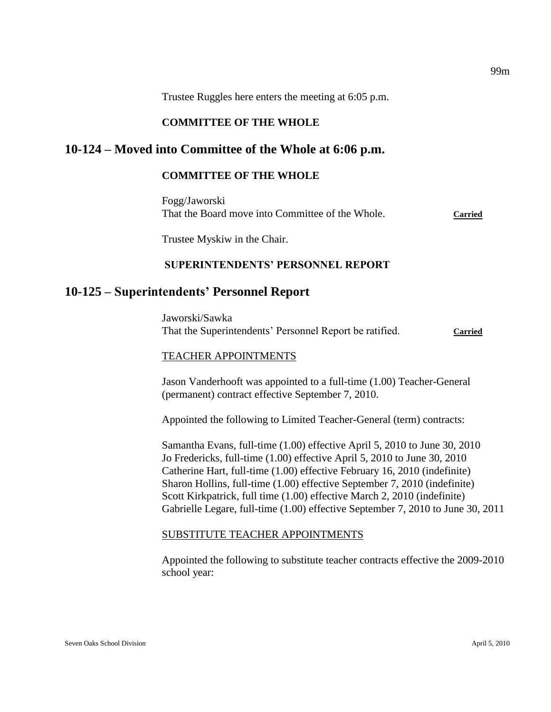Trustee Ruggles here enters the meeting at 6:05 p.m.

### **COMMITTEE OF THE WHOLE**

## **10-124 – Moved into Committee of the Whole at 6:06 p.m.**

### **COMMITTEE OF THE WHOLE**

Fogg/Jaworski That the Board move into Committee of the Whole. **Carried**

Trustee Myskiw in the Chair.

### **SUPERINTENDENTS' PERSONNEL REPORT**

## **10-125 – Superintendents' Personnel Report**

Jaworski/Sawka That the Superintendents' Personnel Report be ratified. **Carried**

#### TEACHER APPOINTMENTS

Jason Vanderhooft was appointed to a full-time (1.00) Teacher-General (permanent) contract effective September 7, 2010.

Appointed the following to Limited Teacher-General (term) contracts:

Samantha Evans, full-time (1.00) effective April 5, 2010 to June 30, 2010 Jo Fredericks, full-time (1.00) effective April 5, 2010 to June 30, 2010 Catherine Hart, full-time (1.00) effective February 16, 2010 (indefinite) Sharon Hollins, full-time (1.00) effective September 7, 2010 (indefinite) Scott Kirkpatrick, full time (1.00) effective March 2, 2010 (indefinite) Gabrielle Legare, full-time (1.00) effective September 7, 2010 to June 30, 2011

#### SUBSTITUTE TEACHER APPOINTMENTS

Appointed the following to substitute teacher contracts effective the 2009-2010 school year: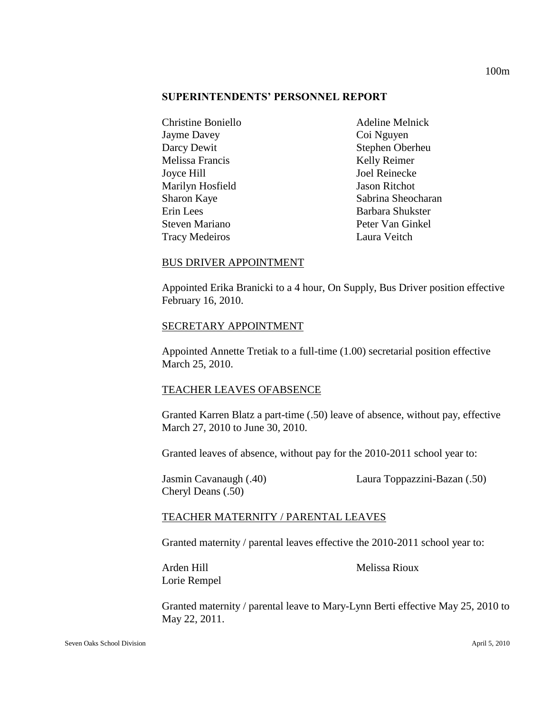### **SUPERINTENDENTS' PERSONNEL REPORT**

| <b>Christine Boniello</b> | <b>Adeline Melnick</b> |
|---------------------------|------------------------|
| <b>Jayme Davey</b>        | Coi Nguyen             |
| Darcy Dewit               | Stephen Oberheu        |
| Melissa Francis           | Kelly Reimer           |
| Joyce Hill                | Joel Reinecke          |
| Marilyn Hosfield          | <b>Jason Ritchot</b>   |
| Sharon Kaye               | Sabrina Sheocharan     |
| Erin Lees                 | Barbara Shukster       |
| <b>Steven Mariano</b>     | Peter Van Ginkel       |
| <b>Tracy Medeiros</b>     | Laura Veitch           |

### BUS DRIVER APPOINTMENT

Appointed Erika Branicki to a 4 hour, On Supply, Bus Driver position effective February 16, 2010.

#### SECRETARY APPOINTMENT

Appointed Annette Tretiak to a full-time (1.00) secretarial position effective March 25, 2010.

#### TEACHER LEAVES OFABSENCE

Granted Karren Blatz a part-time (.50) leave of absence, without pay, effective March 27, 2010 to June 30, 2010.

Granted leaves of absence, without pay for the 2010-2011 school year to:

Cheryl Deans (.50)

Jasmin Cavanaugh (.40) Laura Toppazzini-Bazan (.50)

#### TEACHER MATERNITY / PARENTAL LEAVES

Granted maternity / parental leaves effective the 2010-2011 school year to:

Lorie Rempel

Arden Hill Melissa Rioux

Granted maternity / parental leave to Mary-Lynn Berti effective May 25, 2010 to May 22, 2011.

100m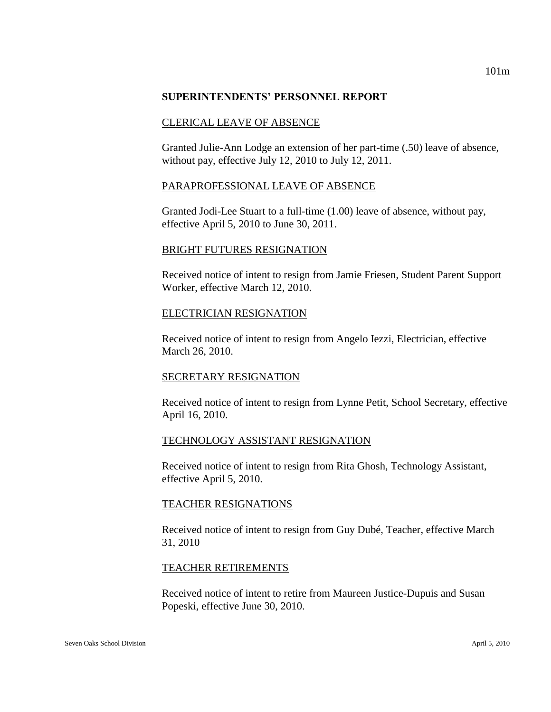### **SUPERINTENDENTS' PERSONNEL REPORT**

### CLERICAL LEAVE OF ABSENCE

Granted Julie-Ann Lodge an extension of her part-time (.50) leave of absence, without pay, effective July 12, 2010 to July 12, 2011.

### PARAPROFESSIONAL LEAVE OF ABSENCE

Granted Jodi-Lee Stuart to a full-time (1.00) leave of absence, without pay, effective April 5, 2010 to June 30, 2011.

#### BRIGHT FUTURES RESIGNATION

Received notice of intent to resign from Jamie Friesen, Student Parent Support Worker, effective March 12, 2010.

### ELECTRICIAN RESIGNATION

Received notice of intent to resign from Angelo Iezzi, Electrician, effective March 26, 2010.

## SECRETARY RESIGNATION

Received notice of intent to resign from Lynne Petit, School Secretary, effective April 16, 2010.

## TECHNOLOGY ASSISTANT RESIGNATION

Received notice of intent to resign from Rita Ghosh, Technology Assistant, effective April 5, 2010.

## TEACHER RESIGNATIONS

Received notice of intent to resign from Guy Dubé, Teacher, effective March 31, 2010

### TEACHER RETIREMENTS

Received notice of intent to retire from Maureen Justice-Dupuis and Susan Popeski, effective June 30, 2010.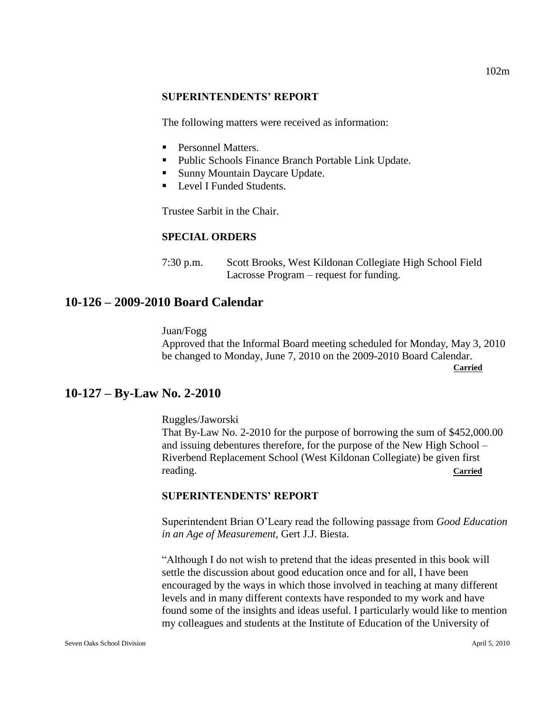#### **SUPERINTENDENTS' REPORT**

The following matters were received as information:

- **Personnel Matters.**
- Public Schools Finance Branch Portable Link Update.
- Sunny Mountain Daycare Update.
- **Level I Funded Students.**

Trustee Sarbit in the Chair.

## **SPECIAL ORDERS**

7:30 p.m. Scott Brooks, West Kildonan Collegiate High School Field Lacrosse Program – request for funding.

## **10-126 – 2009-2010 Board Calendar**

 Juan/Fogg Approved that the Informal Board meeting scheduled for Monday, May 3, 2010 be changed to Monday, June 7, 2010 on the 2009-2010 Board Calendar.

**Carried**

## **10-127 – By-Law No. 2-2010**

Ruggles/Jaworski That By-Law No. 2-2010 for the purpose of borrowing the sum of \$452,000.00 and issuing debentures therefore, for the purpose of the New High School – Riverbend Replacement School (West Kildonan Collegiate) be given first reading. **Carried**

## **SUPERINTENDENTS' REPORT**

Superintendent Brian O'Leary read the following passage from *Good Education in an Age of Measurement,* Gert J.J. Biesta.

"Although I do not wish to pretend that the ideas presented in this book will settle the discussion about good education once and for all, I have been encouraged by the ways in which those involved in teaching at many different levels and in many different contexts have responded to my work and have found some of the insights and ideas useful. I particularly would like to mention my colleagues and students at the Institute of Education of the University of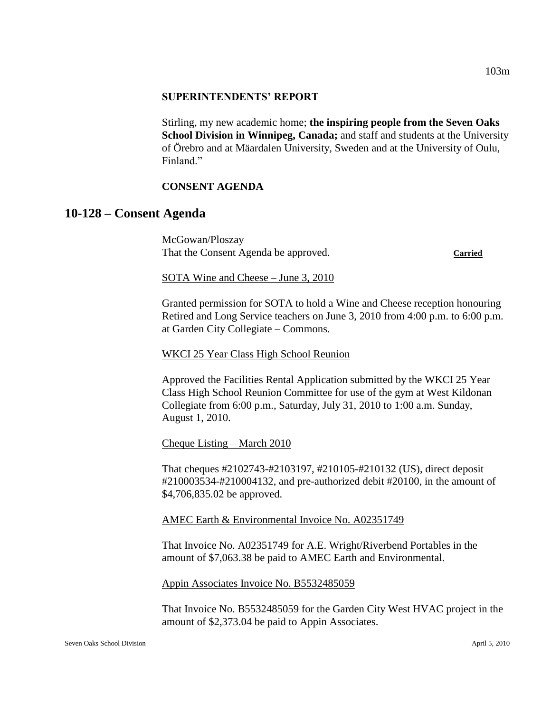Stirling, my new academic home; **the inspiring people from the Seven Oaks School Division in Winnipeg, Canada;** and staff and students at the University of Örebro and at Mäardalen University, Sweden and at the University of Oulu, Finland<sup>"</sup>

## **CONSENT AGENDA**

## **10-128 – Consent Agenda**

McGowan/Ploszay That the Consent Agenda be approved. **Carried**

SOTA Wine and Cheese – June 3, 2010

Granted permission for SOTA to hold a Wine and Cheese reception honouring Retired and Long Service teachers on June 3, 2010 from 4:00 p.m. to 6:00 p.m. at Garden City Collegiate – Commons.

WKCI 25 Year Class High School Reunion

Approved the Facilities Rental Application submitted by the WKCI 25 Year Class High School Reunion Committee for use of the gym at West Kildonan Collegiate from 6:00 p.m., Saturday, July 31, 2010 to 1:00 a.m. Sunday, August 1, 2010.

Cheque Listing – March 2010

That cheques #2102743-#2103197, #210105-#210132 (US), direct deposit #210003534-#210004132, and pre-authorized debit #20100, in the amount of \$4,706,835.02 be approved.

AMEC Earth & Environmental Invoice No. A02351749

That Invoice No. A02351749 for A.E. Wright/Riverbend Portables in the amount of \$7,063.38 be paid to AMEC Earth and Environmental.

Appin Associates Invoice No. B5532485059

That Invoice No. B5532485059 for the Garden City West HVAC project in the amount of \$2,373.04 be paid to Appin Associates.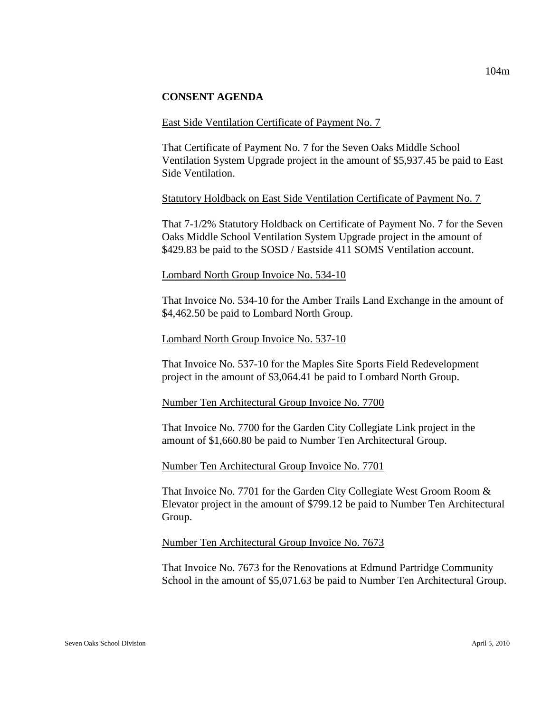### **CONSENT AGENDA**

#### East Side Ventilation Certificate of Payment No. 7

That Certificate of Payment No. 7 for the Seven Oaks Middle School Ventilation System Upgrade project in the amount of \$5,937.45 be paid to East Side Ventilation.

#### Statutory Holdback on East Side Ventilation Certificate of Payment No. 7

That 7-1/2% Statutory Holdback on Certificate of Payment No. 7 for the Seven Oaks Middle School Ventilation System Upgrade project in the amount of \$429.83 be paid to the SOSD / Eastside 411 SOMS Ventilation account.

#### Lombard North Group Invoice No. 534-10

That Invoice No. 534-10 for the Amber Trails Land Exchange in the amount of \$4,462.50 be paid to Lombard North Group.

#### Lombard North Group Invoice No. 537-10

That Invoice No. 537-10 for the Maples Site Sports Field Redevelopment project in the amount of \$3,064.41 be paid to Lombard North Group.

#### Number Ten Architectural Group Invoice No. 7700

That Invoice No. 7700 for the Garden City Collegiate Link project in the amount of \$1,660.80 be paid to Number Ten Architectural Group.

#### Number Ten Architectural Group Invoice No. 7701

That Invoice No. 7701 for the Garden City Collegiate West Groom Room & Elevator project in the amount of \$799.12 be paid to Number Ten Architectural Group.

#### Number Ten Architectural Group Invoice No. 7673

That Invoice No. 7673 for the Renovations at Edmund Partridge Community School in the amount of \$5,071.63 be paid to Number Ten Architectural Group.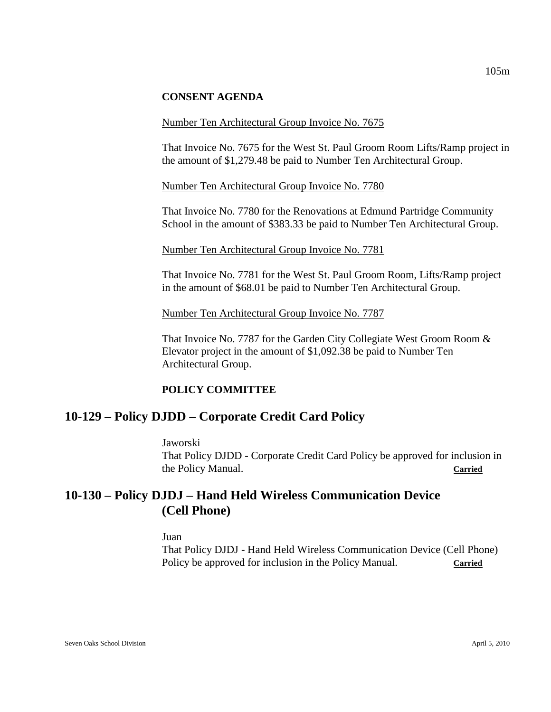### **CONSENT AGENDA**

#### Number Ten Architectural Group Invoice No. 7675

That Invoice No. 7675 for the West St. Paul Groom Room Lifts/Ramp project in the amount of \$1,279.48 be paid to Number Ten Architectural Group.

Number Ten Architectural Group Invoice No. 7780

That Invoice No. 7780 for the Renovations at Edmund Partridge Community School in the amount of \$383.33 be paid to Number Ten Architectural Group.

Number Ten Architectural Group Invoice No. 7781

That Invoice No. 7781 for the West St. Paul Groom Room, Lifts/Ramp project in the amount of \$68.01 be paid to Number Ten Architectural Group.

Number Ten Architectural Group Invoice No. 7787

That Invoice No. 7787 for the Garden City Collegiate West Groom Room & Elevator project in the amount of \$1,092.38 be paid to Number Ten Architectural Group.

#### **POLICY COMMITTEE**

## **10-129 – Policy DJDD – Corporate Credit Card Policy**

Jaworski That Policy DJDD - Corporate Credit Card Policy be approved for inclusion in the Policy Manual. **Carried**

# **10-130 – Policy DJDJ – Hand Held Wireless Communication Device (Cell Phone)**

Juan

That Policy DJDJ - Hand Held Wireless Communication Device (Cell Phone) Policy be approved for inclusion in the Policy Manual. **Carried**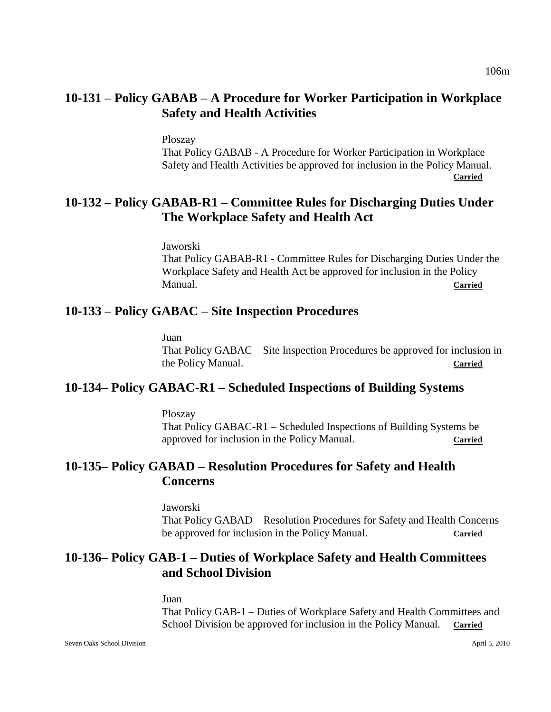# **10-131 – Policy GABAB – A Procedure for Worker Participation in Workplace Safety and Health Activities**

Ploszay

That Policy GABAB - A Procedure for Worker Participation in Workplace Safety and Health Activities be approved for inclusion in the Policy Manual. **Carried**

# **10-132 – Policy GABAB-R1 – Committee Rules for Discharging Duties Under The Workplace Safety and Health Act**

Jaworski

That Policy GABAB-R1 - Committee Rules for Discharging Duties Under the Workplace Safety and Health Act be approved for inclusion in the Policy Manual. **Carried**

## **10-133 – Policy GABAC – Site Inspection Procedures**

Juan

That Policy GABAC – Site Inspection Procedures be approved for inclusion in the Policy Manual. **Carried**

## **10-134– Policy GABAC-R1 – Scheduled Inspections of Building Systems**

Ploszay

That Policy GABAC-R1 – Scheduled Inspections of Building Systems be approved for inclusion in the Policy Manual. **Carried** 

# **10-135– Policy GABAD – Resolution Procedures for Safety and Health Concerns**

Jaworski That Policy GABAD – Resolution Procedures for Safety and Health Concerns be approved for inclusion in the Policy Manual. Carried

# **10-136– Policy GAB-1 – Duties of Workplace Safety and Health Committees and School Division**

Juan That Policy GAB-1 – Duties of Workplace Safety and Health Committees and School Division be approved for inclusion in the Policy Manual. **Carried**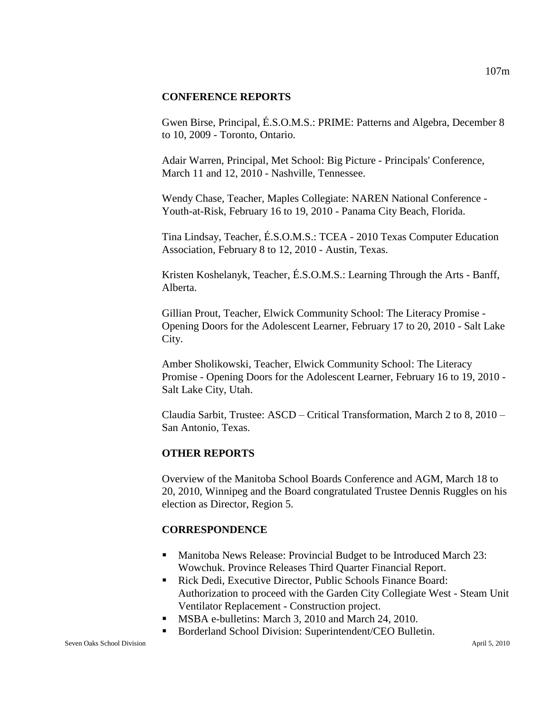#### **CONFERENCE REPORTS**

Gwen Birse, Principal, É.S.O.M.S.: PRIME: Patterns and Algebra, December 8 to 10, 2009 - Toronto, Ontario.

Adair Warren, Principal, Met School: Big Picture - Principals' Conference, March 11 and 12, 2010 - Nashville, Tennessee.

Wendy Chase, Teacher, Maples Collegiate: NAREN National Conference - Youth-at-Risk, February 16 to 19, 2010 - Panama City Beach, Florida.

Tina Lindsay, Teacher, É.S.O.M.S.: TCEA - 2010 Texas Computer Education Association, February 8 to 12, 2010 - Austin, Texas.

Kristen Koshelanyk, Teacher, É.S.O.M.S.: Learning Through the Arts - Banff, Alberta.

Gillian Prout, Teacher, Elwick Community School: The Literacy Promise - Opening Doors for the Adolescent Learner, February 17 to 20, 2010 - Salt Lake City.

Amber Sholikowski, Teacher, Elwick Community School: The Literacy Promise - Opening Doors for the Adolescent Learner, February 16 to 19, 2010 - Salt Lake City, Utah.

Claudia Sarbit, Trustee: ASCD – Critical Transformation, March 2 to 8, 2010 – San Antonio, Texas.

## **OTHER REPORTS**

Overview of the Manitoba School Boards Conference and AGM, March 18 to 20, 2010, Winnipeg and the Board congratulated Trustee Dennis Ruggles on his election as Director, Region 5.

## **CORRESPONDENCE**

- Manitoba News Release: Provincial Budget to be Introduced March 23: Wowchuk. Province Releases Third Quarter Financial Report.
- Rick Dedi, Executive Director, Public Schools Finance Board: Authorization to proceed with the Garden City Collegiate West - Steam Unit Ventilator Replacement - Construction project.
- **MSBA e-bulletins: March 3, 2010 and March 24, 2010.**
- Borderland School Division: Superintendent/CEO Bulletin.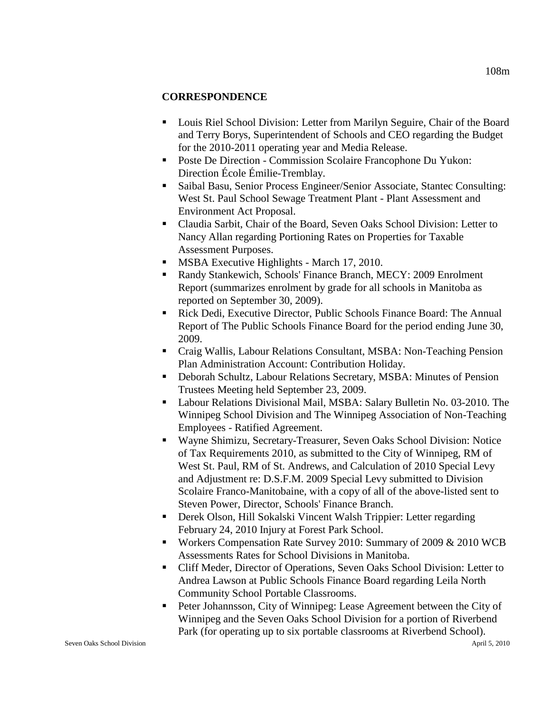## **CORRESPONDENCE**

- Louis Riel School Division: Letter from Marilyn Seguire, Chair of the Board and Terry Borys, Superintendent of Schools and CEO regarding the Budget for the 2010-2011 operating year and Media Release.
- Poste De Direction Commission Scolaire Francophone Du Yukon: Direction École Émilie-Tremblay.
- Saibal Basu, Senior Process Engineer/Senior Associate, Stantec Consulting: West St. Paul School Sewage Treatment Plant - Plant Assessment and Environment Act Proposal.
- Claudia Sarbit, Chair of the Board, Seven Oaks School Division: Letter to Nancy Allan regarding Portioning Rates on Properties for Taxable Assessment Purposes.
- **MSBA Executive Highlights March 17, 2010.**
- Randy Stankewich, Schools' Finance Branch, MECY: 2009 Enrolment Report (summarizes enrolment by grade for all schools in Manitoba as reported on September 30, 2009).
- Rick Dedi, Executive Director, Public Schools Finance Board: The Annual Report of The Public Schools Finance Board for the period ending June 30, 2009.
- Craig Wallis, Labour Relations Consultant, MSBA: Non-Teaching Pension Plan Administration Account: Contribution Holiday.
- Deborah Schultz, Labour Relations Secretary, MSBA: Minutes of Pension Trustees Meeting held September 23, 2009.
- Labour Relations Divisional Mail, MSBA: Salary Bulletin No. 03-2010. The Winnipeg School Division and The Winnipeg Association of Non-Teaching Employees - Ratified Agreement.
- Wayne Shimizu, Secretary-Treasurer, Seven Oaks School Division: Notice of Tax Requirements 2010, as submitted to the City of Winnipeg, RM of West St. Paul, RM of St. Andrews, and Calculation of 2010 Special Levy and Adjustment re: D.S.F.M. 2009 Special Levy submitted to Division Scolaire Franco-Manitobaine, with a copy of all of the above-listed sent to Steven Power, Director, Schools' Finance Branch.
- Derek Olson, Hill Sokalski Vincent Walsh Trippier: Letter regarding February 24, 2010 Injury at Forest Park School.
- **Workers Compensation Rate Survey 2010: Summary of 2009 & 2010 WCB** Assessments Rates for School Divisions in Manitoba.
- Cliff Meder, Director of Operations, Seven Oaks School Division: Letter to Andrea Lawson at Public Schools Finance Board regarding Leila North Community School Portable Classrooms.
- **Peter Johannsson, City of Winnipeg: Lease Agreement between the City of** Winnipeg and the Seven Oaks School Division for a portion of Riverbend Park (for operating up to six portable classrooms at Riverbend School).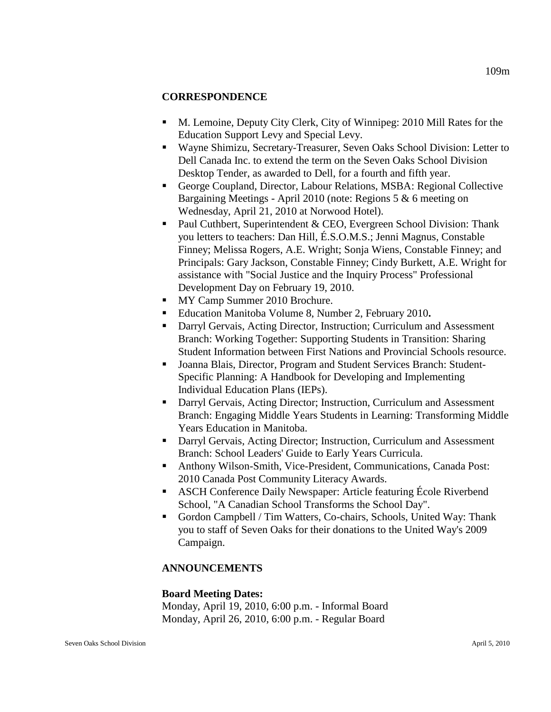## **CORRESPONDENCE**

- M. Lemoine, Deputy City Clerk, City of Winnipeg: 2010 Mill Rates for the Education Support Levy and Special Levy.
- Wayne Shimizu, Secretary-Treasurer, Seven Oaks School Division: Letter to Dell Canada Inc. to extend the term on the Seven Oaks School Division Desktop Tender, as awarded to Dell, for a fourth and fifth year.
- George Coupland, Director, Labour Relations, MSBA: Regional Collective Bargaining Meetings - April 2010 (note: Regions 5 & 6 meeting on Wednesday, April 21, 2010 at Norwood Hotel).
- **Paul Cuthbert, Superintendent & CEO, Evergreen School Division: Thank** you letters to teachers: Dan Hill, É.S.O.M.S.; Jenni Magnus, Constable Finney; Melissa Rogers, A.E. Wright; Sonja Wiens, Constable Finney; and Principals: Gary Jackson, Constable Finney; Cindy Burkett, A.E. Wright for assistance with "Social Justice and the Inquiry Process" Professional Development Day on February 19, 2010.
- **MY Camp Summer 2010 Brochure.**
- Education Manitoba Volume 8, Number 2, February 2010**.**
- Darryl Gervais, Acting Director, Instruction; Curriculum and Assessment Branch: Working Together: Supporting Students in Transition: Sharing Student Information between First Nations and Provincial Schools resource.
- Joanna Blais, Director, Program and Student Services Branch: Student-Specific Planning: A Handbook for Developing and Implementing Individual Education Plans (IEPs).
- Darryl Gervais, Acting Director; Instruction, Curriculum and Assessment Branch: Engaging Middle Years Students in Learning: Transforming Middle Years Education in Manitoba.
- Darryl Gervais, Acting Director; Instruction, Curriculum and Assessment Branch: School Leaders' Guide to Early Years Curricula.
- Anthony Wilson-Smith, Vice-President, Communications, Canada Post: 2010 Canada Post Community Literacy Awards.
- ASCH Conference Daily Newspaper: Article featuring École Riverbend School, "A Canadian School Transforms the School Day".
- Gordon Campbell / Tim Watters, Co-chairs, Schools, United Way: Thank you to staff of Seven Oaks for their donations to the United Way's 2009 Campaign.

## **ANNOUNCEMENTS**

## **Board Meeting Dates:**

Monday, April 19, 2010, 6:00 p.m. - Informal Board Monday, April 26, 2010, 6:00 p.m. - Regular Board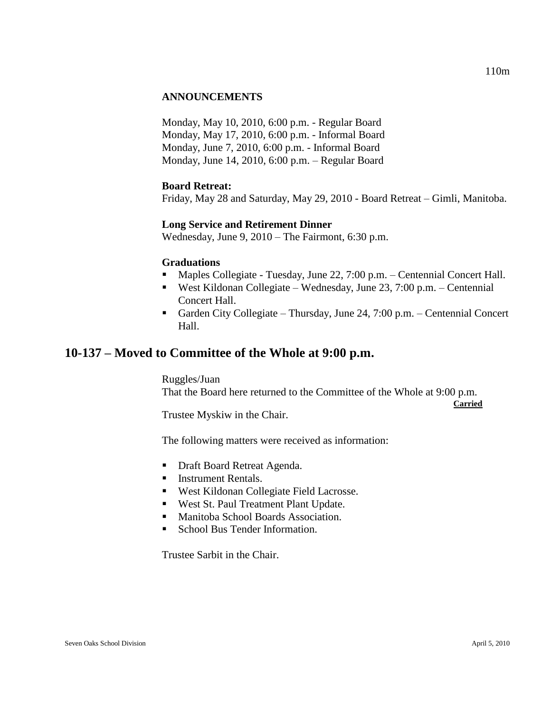## **ANNOUNCEMENTS**

Monday, May 10, 2010, 6:00 p.m. - Regular Board Monday, May 17, 2010, 6:00 p.m. - Informal Board Monday, June 7, 2010, 6:00 p.m. - Informal Board Monday, June 14, 2010, 6:00 p.m. – Regular Board

#### **Board Retreat:**

Friday, May 28 and Saturday, May 29, 2010 - Board Retreat – Gimli, Manitoba.

#### **Long Service and Retirement Dinner**

Wednesday, June 9, 2010 – The Fairmont, 6:30 p.m.

#### **Graduations**

- Maples Collegiate Tuesday, June 22, 7:00 p.m. Centennial Concert Hall.
- West Kildonan Collegiate Wednesday, June 23, 7:00 p.m. Centennial Concert Hall.
- Garden City Collegiate Thursday, June 24, 7:00 p.m. Centennial Concert Hall.

## **10-137 – Moved to Committee of the Whole at 9:00 p.m.**

Ruggles/Juan That the Board here returned to the Committee of the Whole at 9:00 p.m.

**Carried**

Trustee Myskiw in the Chair.

The following matters were received as information:

- **Draft Board Retreat Agenda.**
- **Instrument Rentals.**
- West Kildonan Collegiate Field Lacrosse.
- **West St. Paul Treatment Plant Update.**
- **Manitoba School Boards Association.**
- School Bus Tender Information.

Trustee Sarbit in the Chair.